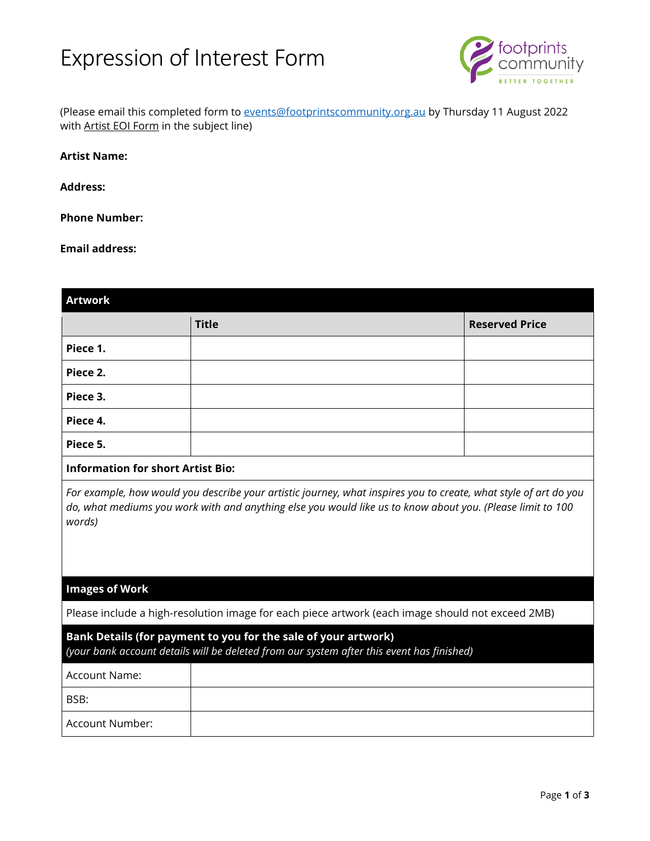# Expression of Interest Form



(Please email this completed form to **[events@footprintscommunity.org.au](mailto:events@footprintscommunity.org.au)** by Thursday 11 August 2022 with Artist EOI Form in the subject line)

#### **Artist Name:**

**Address:** 

#### **Phone Number:**

#### **Email address:**

| <b>Artwork</b>                           |                                                                                                                                                                                                                                |                       |
|------------------------------------------|--------------------------------------------------------------------------------------------------------------------------------------------------------------------------------------------------------------------------------|-----------------------|
|                                          | <b>Title</b>                                                                                                                                                                                                                   | <b>Reserved Price</b> |
| Piece 1.                                 |                                                                                                                                                                                                                                |                       |
| Piece 2.                                 |                                                                                                                                                                                                                                |                       |
| Piece 3.                                 |                                                                                                                                                                                                                                |                       |
| Piece 4.                                 |                                                                                                                                                                                                                                |                       |
| Piece 5.                                 |                                                                                                                                                                                                                                |                       |
| <b>Information for short Artist Bio:</b> |                                                                                                                                                                                                                                |                       |
| words)                                   | For example, how would you describe your artistic journey, what inspires you to create, what style of art do you<br>do, what mediums you work with and anything else you would like us to know about you. (Please limit to 100 |                       |
| <b>Images of Work</b>                    |                                                                                                                                                                                                                                |                       |
|                                          | Please include a high-resolution image for each piece artwork (each image should not exceed 2MB)                                                                                                                               |                       |
|                                          | Bank Details (for payment to you for the sale of your artwork)<br>(your bank account details will be deleted from our system after this event has finished)                                                                    |                       |
| Account Name:                            |                                                                                                                                                                                                                                |                       |
| BSB:                                     |                                                                                                                                                                                                                                |                       |
| Account Number:                          |                                                                                                                                                                                                                                |                       |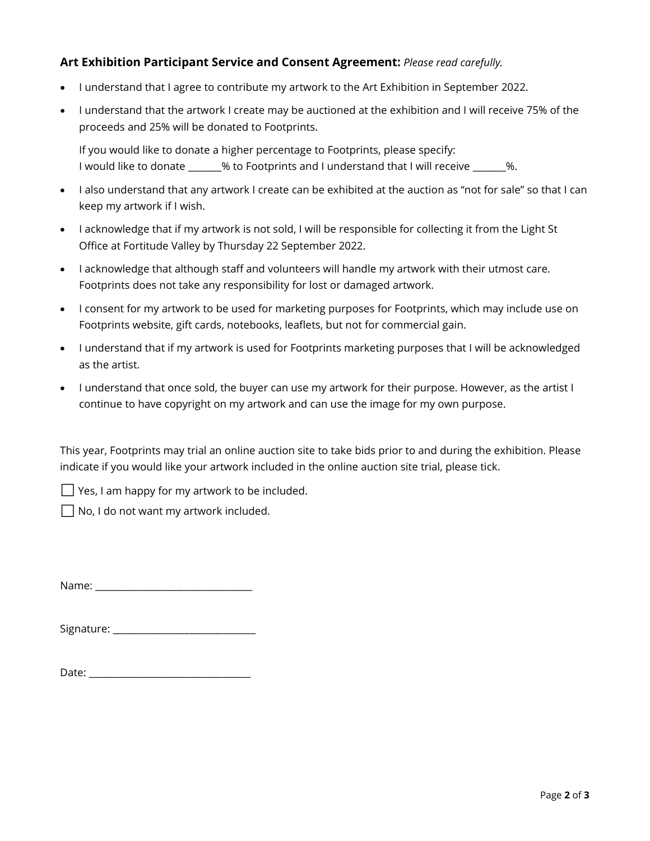### **Art Exhibition Participant Service and Consent Agreement:** *Please read carefully.*

- I understand that I agree to contribute my artwork to the Art Exhibition in September 2022.
- I understand that the artwork I create may be auctioned at the exhibition and I will receive 75% of the proceeds and 25% will be donated to Footprints.

If you would like to donate a higher percentage to Footprints, please specify: I would like to donate \_\_\_\_\_\_\_% to Footprints and I understand that I will receive \_\_\_\_\_\_\_%.

- I also understand that any artwork I create can be exhibited at the auction as "not for sale" so that I can keep my artwork if I wish.
- I acknowledge that if my artwork is not sold, I will be responsible for collecting it from the Light St Office at Fortitude Valley by Thursday 22 September 2022.
- I acknowledge that although staff and volunteers will handle my artwork with their utmost care. Footprints does not take any responsibility for lost or damaged artwork.
- I consent for my artwork to be used for marketing purposes for Footprints, which may include use on Footprints website, gift cards, notebooks, leaflets, but not for commercial gain.
- I understand that if my artwork is used for Footprints marketing purposes that I will be acknowledged as the artist.
- I understand that once sold, the buyer can use my artwork for their purpose. However, as the artist I continue to have copyright on my artwork and can use the image for my own purpose.

This year, Footprints may trial an online auction site to take bids prior to and during the exhibition. Please indicate if you would like your artwork included in the online auction site trial, please tick.

Yes, I am happy for my artwork to be included.

No, I do not want my artwork included.

Name: \_\_\_\_\_\_\_\_\_\_\_\_\_\_\_\_\_\_\_\_\_\_\_\_\_\_\_\_\_\_\_\_\_

| Signature: |  |
|------------|--|
|------------|--|